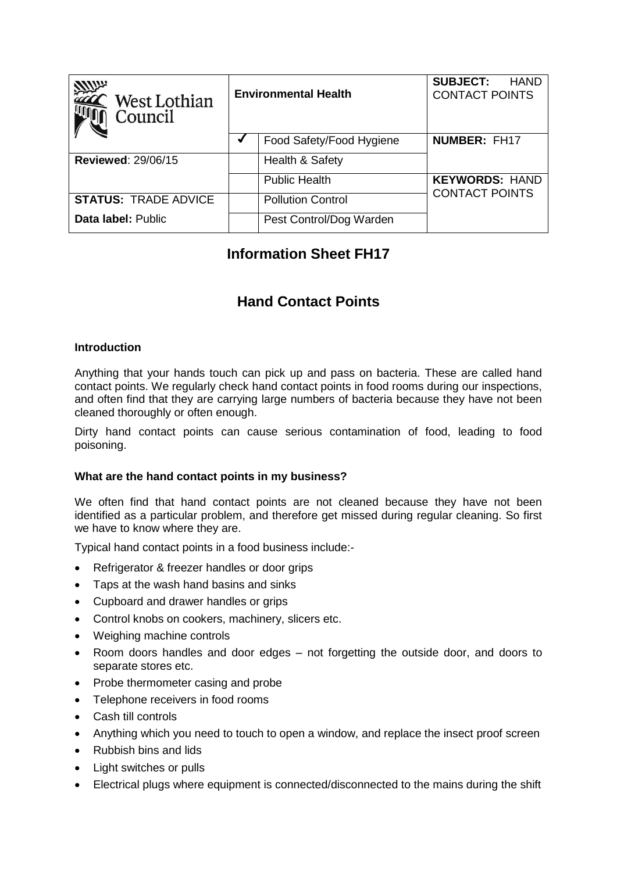| <b>Allin</b><br>West Lothian<br>Council | <b>Environmental Health</b> |                          | <b>SUBJECT:</b><br>HAND<br><b>CONTACT POINTS</b> |
|-----------------------------------------|-----------------------------|--------------------------|--------------------------------------------------|
|                                         |                             | Food Safety/Food Hygiene | <b>NUMBER: FH17</b>                              |
| <b>Reviewed: 29/06/15</b>               |                             | Health & Safety          |                                                  |
|                                         |                             | <b>Public Health</b>     | <b>KEYWORDS: HAND</b>                            |
| <b>STATUS: TRADE ADVICE</b>             |                             | <b>Pollution Control</b> | <b>CONTACT POINTS</b>                            |
| Data label: Public                      |                             | Pest Control/Dog Warden  |                                                  |

# **Information Sheet FH17**

## **Hand Contact Points**

### **Introduction**

Anything that your hands touch can pick up and pass on bacteria. These are called hand contact points. We regularly check hand contact points in food rooms during our inspections, and often find that they are carrying large numbers of bacteria because they have not been cleaned thoroughly or often enough.

Dirty hand contact points can cause serious contamination of food, leading to food poisoning.

### **What are the hand contact points in my business?**

We often find that hand contact points are not cleaned because they have not been identified as a particular problem, and therefore get missed during regular cleaning. So first we have to know where they are.

Typical hand contact points in a food business include:-

- Refrigerator & freezer handles or door grips
- Taps at the wash hand basins and sinks
- Cupboard and drawer handles or grips
- Control knobs on cookers, machinery, slicers etc.
- Weighing machine controls
- Room doors handles and door edges not forgetting the outside door, and doors to separate stores etc.
- Probe thermometer casing and probe
- Telephone receivers in food rooms
- Cash till controls
- Anything which you need to touch to open a window, and replace the insect proof screen
- Rubbish bins and lids
- Light switches or pulls
- Electrical plugs where equipment is connected/disconnected to the mains during the shift